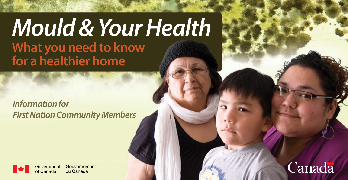# *Mould & Your Health* **What you need to know for a healthier home**

*Information for First Nation Community Members*



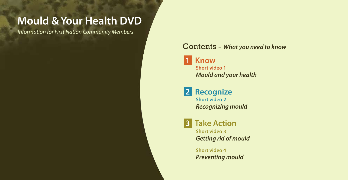### **Mould & Your Health DVD**

*Information for First Nation Community Members*

### Contents - *What you need to know*

**Short video 1** *Mould and your health*  **1 Know** 

**Short video 2** *Recognizing mould*   **2 Recognize** 

**Short video 3** *Getting rid of mould*  **3 Take Action**

> **Short video 4** *Preventing mould*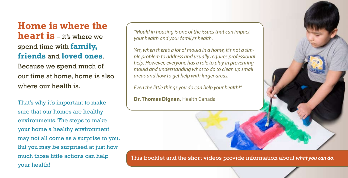**Home is where the heart is** – it's where we spend time with **family, friends** and **loved ones**. Because we spend much of our time at home, home is also where our health is.

That's why it's important to make sure that our homes are healthy environments. The steps to make your home a healthy environment may not all come as a surprise to you. But you may be surprised at just how much those little actions can help your health!

*"Mould in housing is one of the issues that can impact your health and your family's health.* 

*Yes, when there's a lot of mould in a home, it's not a simple problem to address and usually requires professional help. However, everyone has a role to play in preventing mould and understanding what to do to clean up small areas and how to get help with larger areas.* 

*Even the little things you do can help your health!"* 

**Dr. Thomas Dignan,** Health Canada

This booklet and the short videos provide information about *what you can do*.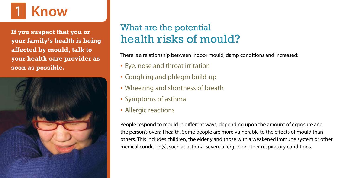# **1 Know**

**If you suspect that you or your family's health is being affected by mould, talk to your health care provider as soon as possible.**



### What are the potential health risks of mould?

There is a relationship between indoor mould, damp conditions and increased:

- **Eye, nose and throat irritation**
- Coughing and phlegm build-up
- Wheezing and shortness of breath
- Symptoms of asthma
- Allergic reactions

People respond to mould in different ways, depending upon the amount of exposure and the person's overall health. Some people are more vulnerable to the effects of mould than others. This includes children, the elderly and those with a weakened immune system or other medical condition(s), such as asthma, severe allergies or other respiratory conditions.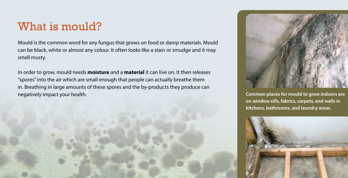### What is mould?

Mould is the common word for any fungus that grows on food or damp materials. Mould can be black, white or almost any colour. It often looks like a stain or smudge and it may smell musty.

In order to grow, mould needs **moisture** and a **material** it can live on. It then releases "spores" into the air which are small enough that people can actually breathe them in. Breathing in large amounts of these spores and the by-products they produce can negatively impact your health.



**Common places for mould to grow indoors are on window sills, fabrics, carpets, and walls in kitchens, bathrooms, and laundry areas.**

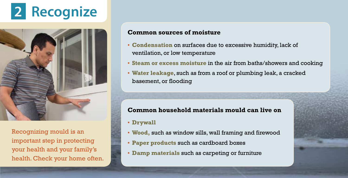# **Recognize**



Recognizing mould is an important step in protecting your health and your family's health. Check your home often.

#### **Common sources of moisture**

- **Condensation** on surfaces due to excessive humidity, lack of ventilation, or low temperature
- **Steam or excess moisture** in the air from baths/showers and cooking
- **Water leakage**, such as from a roof or plumbing leak, a cracked basement, or flooding

#### **Common household materials mould can live on**

- **Drywall**
- **Wood,** such as window sills, wall framing and firewood
- **Paper products** such as cardboard boxes
- **Damp materials** such as carpeting or furniture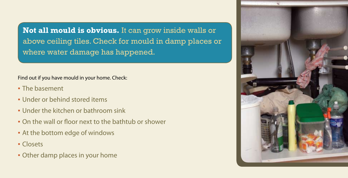**Not all mould is obvious.** It can grow inside walls or above ceiling tiles. Check for mould in damp places or where water damage has happened.

#### Find out if you have mould in your home. Check:

- The basement
- Under or behind stored items
- **.** Under the kitchen or bathroom sink
- On the wall or floor next to the bathtub or shower
- At the bottom edge of windows
- Closets
- Other damp places in your home

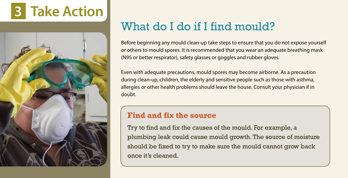



## What do I do if I find mould?

Before beginning any mould clean-up take steps to ensure that you do not expose yourself or others to mould spores. It is recommended that you wear an adequate breathing mask (N95 or better respirator), safety glasses or goggles and rubber gloves.

Even with adequate precautions, mould spores may become airborne. As a precaution during clean-up, children, the elderly and sensitive people such as those with asthma, allergies or other health problems should leave the house. Consult your physician if in doubt.

### **Find and fix the source**

Try to find and fix the causes of the mould. For example, a plumbing leak could cause mould growth. The source of moisture should be fixed to try to make sure the mould cannot grow back once it's cleaned.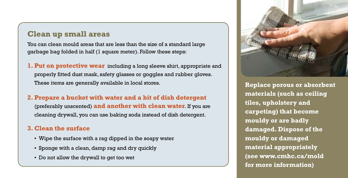### **Clean up small areas**

You can clean mould areas that are less than the size of a standard large garbage bag folded in half (1 square meter). Follow these steps:

**1. Put on protective wear** including a long sleeve shirt, appropriate and properly fitted dust mask, safety glasses or goggles and rubber gloves. These items are generally available in local stores.

### **2. Prepare a bucket with water and a bit of dish detergent**  (preferably unscented) **and another with clean water**. If you are cleaning drywall, you can use baking soda instead of dish detergent.

#### **3. Clean the surface**

- Wipe the surface with a rag dipped in the soapy water
- Sponge with a clean, damp rag and dry quickly
- Do not allow the drywall to get too wet



**Replace porous or absorbent materials (such as ceiling tiles, upholstery and carpeting) that become mouldy or are badly damaged. Dispose of the mouldy or damaged material appropriately (see www.cmhc.ca/mold for more information)**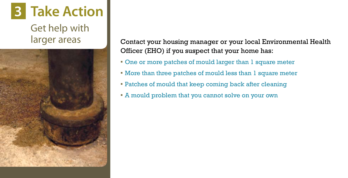# **3 Take Action**

Get help with larger areas



Contact your housing manager or your local Environmental Health Officer (EHO) if you suspect that your home has:

- One or more patches of mould larger than 1 square meter
- More than three patches of mould less than 1 square meter
- Patches of mould that keep coming back after cleaning
- A mould problem that you cannot solve on your own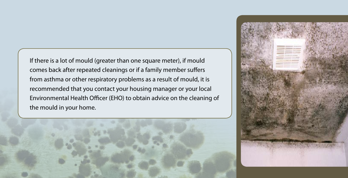If there is a lot of mould (greater than one square meter), if mould comes back after repeated cleanings or if a family member suffers from asthma or other respiratory problems as a result of mould, it is recommended that you contact your housing manager or your local Environmental Health Officer (EHO) to obtain advice on the cleaning of the mould in your home.



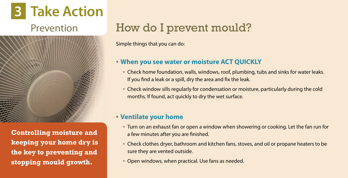# **3 Take Action**



**Controlling moisture and keeping your home dry is the key to preventing and stopping mould growth.**

# Prevention **How do I prevent mould?**

Simple things that you can do:

### ▪ **When you see water or moisture ACT QUICKLY**

- **Check home foundation, walls, windows, roof, plumbing, tubs and sinks for water leaks.** If you find a leak or a spill, dry the area and fix the leak.
- Check window sills regularly for condensation or moisture, particularly during the cold months. If found, act quickly to dry the wet surface.

### ▪ **Ventilate your home**

- Turn on an exhaust fan or open a window when showering or cooking. Let the fan run for a few minutes after you are finished.
- Check clothes dryer, bathroom and kitchen fans, stoves, and oil or propane heaters to be sure they are vented outside.
- **Open windows, when practical. Use fans as needed.**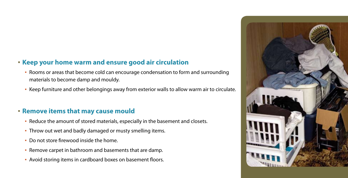### ▪ **Keep your home warm and ensure good air circulation**

- **Rooms or areas that become cold can encourage condensation to form and surrounding** materials to become damp and mouldy.
- Keep furniture and other belongings away from exterior walls to allow warm air to circulate.

### ▪ **Remove items that may cause mould**

- Reduce the amount of stored materials, especially in the basement and closets.
- **Throw out wet and badly damaged or musty smelling items.**
- Do not store firewood inside the home.
- Remove carpet in bathroom and basements that are damp.
- Avoid storing items in cardboard boxes on basement floors.

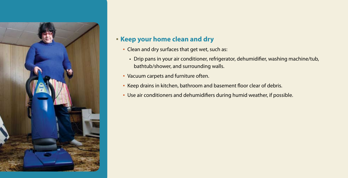

### ▪ **Keep your home clean and dry**

- Clean and dry surfaces that get wet, such as:
	- Drip pans in your air conditioner, refrigerator, dehumidifier, washing machine/tub, bathtub/shower, and surrounding walls.
- Vacuum carpets and furniture often.
- **EXECT** Basement floor clear of debris.
- Use air conditioners and dehumidifiers during humid weather, if possible.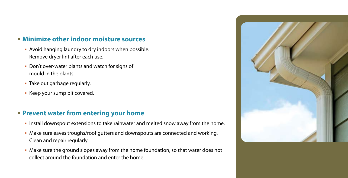### ▪ **Minimize other indoor moisture sources**

- Avoid hanging laundry to dry indoors when possible. Remove dryer lint after each use.
- **Don't over-water plants and watch for signs of** mould in the plants.
- Take out garbage regularly.
- Keep your sump pit covered.

### ▪ **Prevent water from entering your home**

- Install downspout extensions to take rainwater and melted snow away from the home.
- Make sure eaves troughs/roof gutters and downspouts are connected and working. Clean and repair regularly.
- Make sure the ground slopes away from the home foundation, so that water does not collect around the foundation and enter the home.

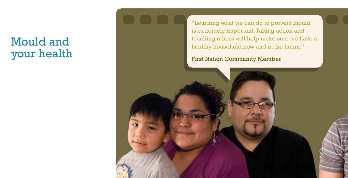## Mould and your health

"Learning what we can do to prevent mould is extremely important. Taking action and teaching others will help make sure we have a healthy household now and in the future."

First Nation Community Member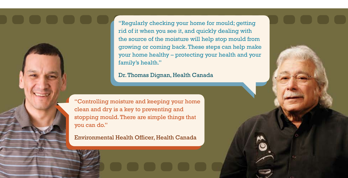"Regularly checking your home for mould; getting rid of it when you see it, and quickly dealing with the source of the moisture will help stop mould from growing or coming back. These steps can help make your home healthy – protecting your health and your family's health."

Dr. Thomas Dignan, Health Canada

"Controlling moisture and keeping your home clean and dry is a key to preventing and stopping mould. There are simple things that you can do."

Environmental Health Officer, Health Canada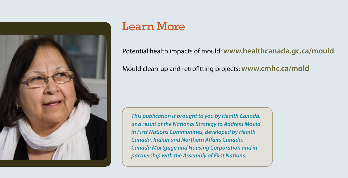

# Learn More

Potential health impacts of mould: **www.healthcanada.gc.ca/mould** 

Mould clean-up and retrofitting projects: **www.cmhc.ca/mold**

*This publication is brought to you by Health Canada, as a result of the National Strategy to Address Mould in First Nations Communities, developed by Health Canada, Indian and Northern Affairs Canada, Canada Mortgage and Housing Corporation and in partnership with the Assembly of First Nations.*